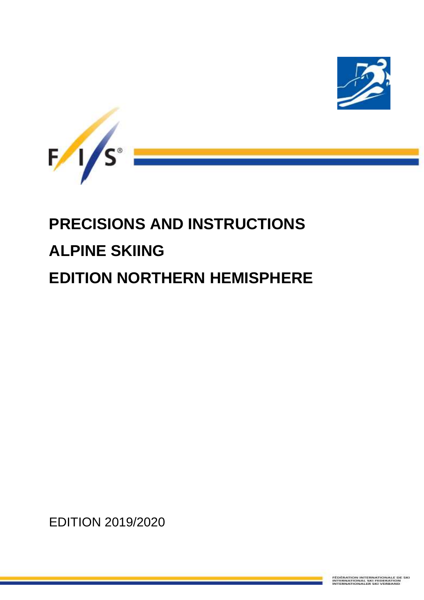



# **PRECISIONS AND INSTRUCTIONS ALPINE SKIING EDITION NORTHERN HEMISPHERE**

EDITION 2019/2020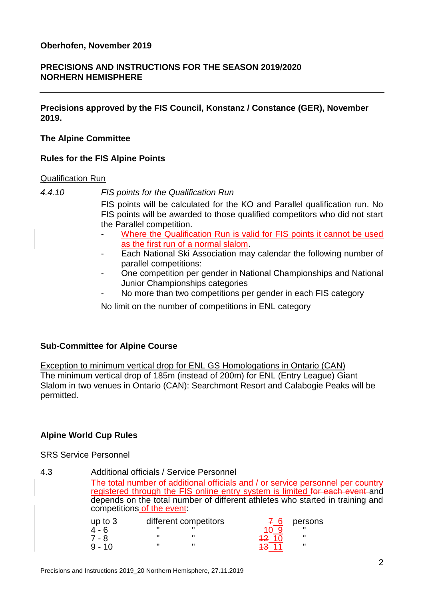# **PRECISIONS AND INSTRUCTIONS FOR THE SEASON 2019/2020 NORHERN HEMISPHERE**

**Precisions approved by the FIS Council, Konstanz / Constance (GER), November 2019.**

## **The Alpine Committee**

# **Rules for the FIS Alpine Points**

#### Qualification Run

*4.4.10 FIS points for the Qualification Run*

FIS points will be calculated for the KO and Parallel qualification run. No FIS points will be awarded to those qualified competitors who did not start the Parallel competition.

- Where the Qualification Run is valid for FIS points it cannot be used as the first run of a normal slalom.
- Each National Ski Association may calendar the following number of parallel competitions:
- One competition per gender in National Championships and National Junior Championships categories
- No more than two competitions per gender in each FIS category

No limit on the number of competitions in ENL category

# **Sub-Committee for Alpine Course**

Exception to minimum vertical drop for ENL GS Homologations in Ontario (CAN) The minimum vertical drop of 185m (instead of 200m) for ENL (Entry League) Giant Slalom in two venues in Ontario (CAN): Searchmont Resort and Calabogie Peaks will be permitted.

# **Alpine World Cup Rules**

#### SRS Service Personnel

4.3 Additional officials / Service Personnel The total number of additional officials and / or service personnel per country registered through the FIS online entry system is limited for each event and depends on the total number of different athletes who started in training and competitions of the event: up to 3 different competitors  $\overline{7}$  6 persons 4 - 6 " " 10 9 " 7 - 8 " " 12 10 "

9 - 10 " " 13 <mark>13 11</mark> "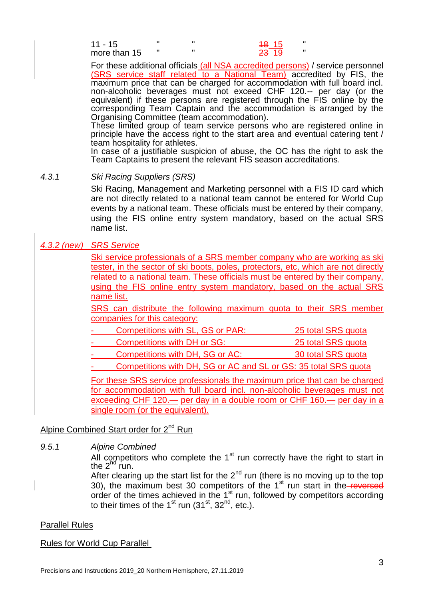| $11 - 15$    |  | <del>18</del> 15 |  |
|--------------|--|------------------|--|
| more than 15 |  | <del>23</del> 19 |  |

For these additional officials (all NSA accredited persons) / service personnel (SRS service staff related to a National Team) accredited by FIS, the maximum price that can be charged for accommodation with full board incl. non-alcoholic beverages must not exceed CHF 120.-- per day (or the equivalent) if these persons are registered through the FIS online by the corresponding Team Captain and the accommodation is arranged by the Organising Committee (team accommodation).

These limited group of team service persons who are registered online in principle have the access right to the start area and eventual catering tent / team hospitality for athletes.

In case of a justifiable suspicion of abuse, the OC has the right to ask the Team Captains to present the relevant FIS season accreditations.

#### *4.3.1 Ski Racing Suppliers (SRS)*

Ski Racing, Management and Marketing personnel with a FIS ID card which are not directly related to a national team cannot be entered for World Cup events by a national team. These officials must be entered by their company, using the FIS online entry system mandatory, based on the actual SRS name list.

## *4.3.2 (new) SRS Service*

Ski service professionals of a SRS member company who are working as ski tester, in the sector of ski boots, poles, protectors, etc, which are not directly related to a national team. These officials must be entered by their company, using the FIS online entry system mandatory, based on the actual SRS name list.

SRS can distribute the following maximum quota to their SRS member companies for this category:

- Competitions with SL, GS or PAR: 25 total SRS quota
- Competitions with DH or SG: 25 total SRS quota
- Competitions with DH, SG or AC: 30 total SRS quota

- Competitions with DH, SG or AC and SL or GS: 35 total SRS quota

For these SRS service professionals the maximum price that can be charged for accommodation with full board incl. non-alcoholic beverages must not exceeding CHF 120.— per day in a double room or CHF 160.— per day in a single room (or the equivalent).

#### Alpine Combined Start order for  $2<sup>nd</sup>$  Run

*9.5.1 Alpine Combined*

All competitors who complete the  $1<sup>st</sup>$  run correctly have the right to start in the  $2^{nd}$  run.

After clearing up the start list for the  $2^{nd}$  run (there is no moving up to the top 30), the maximum best 30 competitors of the 1<sup>st</sup> run start in the reversed order of the times achieved in the  $1<sup>st</sup>$  run, followed by competitors according to their times of the 1<sup>st</sup> run (31<sup>st</sup>, 32<sup>nd</sup>, etc.).

#### Parallel Rules

Rules for World Cup Parallel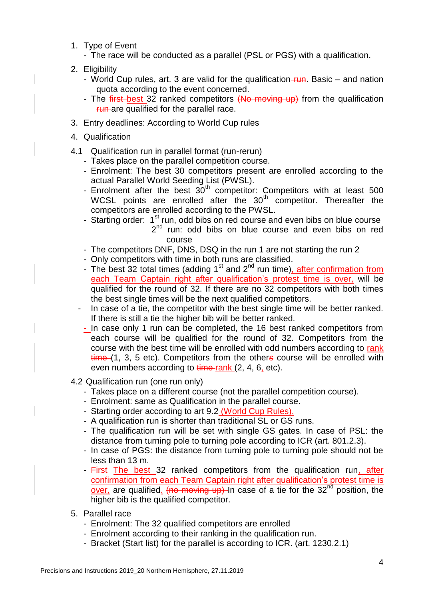- 1. Type of Event
	- The race will be conducted as a parallel (PSL or PGS) with a qualification.
- 2. Eligibility
	- World Cup rules, art. 3 are valid for the qualification–run. Basic and nation quota according to the event concerned.
	- The first-best 32 ranked competitors (No moving up) from the qualification *Fun*-are qualified for the parallel race.
- 3. Entry deadlines: According to World Cup rules
- 4. Qualification
- 4.1 Qualification run in parallel format (run-rerun)
	- Takes place on the parallel competition course.
	- Enrolment: The best 30 competitors present are enrolled according to the actual Parallel World Seeding List (PWSL).
	- Enrolment after the best  $30<sup>th</sup>$  competitor: Competitors with at least 500 WCSL points are enrolled after the  $30<sup>th</sup>$  competitor. Thereafter the competitors are enrolled according to the PWSL.
	- Starting order:  $1<sup>st</sup>$  run, odd bibs on red course and even bibs on blue course 2<sup>nd</sup> run: odd bibs on blue course and even bibs on red course
	- The competitors DNF, DNS, DSQ in the run 1 are not starting the run 2
	- Only competitors with time in both runs are classified.
	- The best 32 total times (adding  $1<sup>st</sup>$  and  $2<sup>nd</sup>$  run time), after confirmation from each Team Captain right after qualification's protest time is over, will be qualified for the round of 32. If there are no 32 competitors with both times the best single times will be the next qualified competitors.
	- In case of a tie, the competitor with the best single time will be better ranked. If there is still a tie the higher bib will be better ranked.
	- In case only 1 run can be completed, the 16 best ranked competitors from each course will be qualified for the round of 32. Competitors from the course with the best time will be enrolled with odd numbers according to rank  $time(1, 3, 5, etc)$ . Competitors from the others course will be enrolled with even numbers according to time rank (2, 4, 6, etc).
- 4.2 Qualification run (one run only)
	- Takes place on a different course (not the parallel competition course).
	- Enrolment: same as Qualification in the parallel course.
	- Starting order according to art 9.2 (World Cup Rules).
	- A qualification run is shorter than traditional SL or GS runs.
	- The qualification run will be set with single GS gates. In case of PSL: the distance from turning pole to turning pole according to ICR (art. 801.2.3).
	- In case of PGS: the distance from turning pole to turning pole should not be less than 13 m.
	- First The best 32 ranked competitors from the qualification run, after confirmation from each Team Captain right after qualification's protest time is over, are qualified. (no moving up) In case of a tie for the  $32<sup>nd</sup>$  position, the higher bib is the qualified competitor.
- 5. Parallel race
	- Enrolment: The 32 qualified competitors are enrolled
	- Enrolment according to their ranking in the qualification run.
	- Bracket (Start list) for the parallel is according to ICR. (art. 1230.2.1)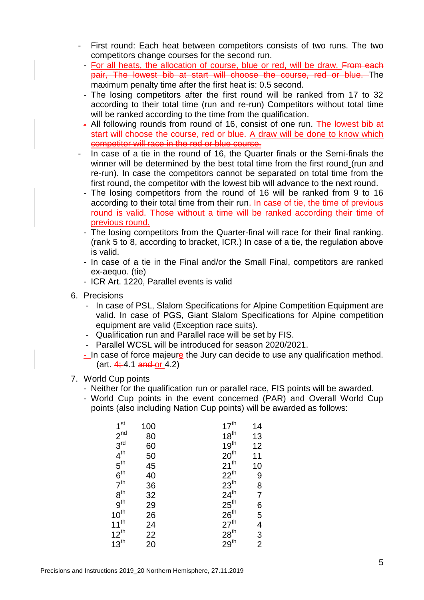- First round: Each heat between competitors consists of two runs. The two competitors change courses for the second run.
- For all heats, the allocation of course, blue or red, will be draw. From each pair, The lowest bib at start will choose the course, red or blue. The maximum penalty time after the first heat is: 0.5 second.
- The losing competitors after the first round will be ranked from 17 to 32 according to their total time (run and re-run) Competitors without total time will be ranked according to the time from the qualification.
- -All following rounds from round of 16, consist of one run. The lowest bib at start will choose the course, red or blue. A draw will be done to know which competitor will race in the red or blue course.
- In case of a tie in the round of 16, the Quarter finals or the Semi-finals the winner will be determined by the best total time from the first round (run and re-run). In case the competitors cannot be separated on total time from the first round, the competitor with the lowest bib will advance to the next round.
- The losing competitors from the round of 16 will be ranked from 9 to 16 according to their total time from their run. In case of tie, the time of previous round is valid. Those without a time will be ranked according their time of previous round.
- The losing competitors from the Quarter-final will race for their final ranking. (rank 5 to 8, according to bracket, ICR.) In case of a tie, the regulation above is valid.
- In case of a tie in the Final and/or the Small Final, competitors are ranked ex-aequo. (tie)
- ICR Art. 1220, Parallel events is valid
- 6. Precisions
	- In case of PSL, Slalom Specifications for Alpine Competition Equipment are valid. In case of PGS, Giant Slalom Specifications for Alpine competition equipment are valid (Exception race suits).
	- Qualification run and Parallel race will be set by FIS.
	- Parallel WCSL will be introduced for season 2020/2021.
	- In case of force majeure the Jury can decide to use any qualification method.  $(\text{art. } 4; 4.1 \text{ and or } 4.2)$
- 7. World Cup points
	- Neither for the qualification run or parallel race, FIS points will be awarded.
	- World Cup points in the event concerned (PAR) and Overall World Cup points (also including Nation Cup points) will be awarded as follows:

| 1 <sup>st</sup>                  | 100      | $17^{\text{th}}$                                                             | 14          |
|----------------------------------|----------|------------------------------------------------------------------------------|-------------|
| $2^{nd}$                         | 80       | $18^{th}$                                                                    | 13          |
| $\overline{3}^{\text{rd}}$       | 60       | 19 <sup>th</sup>                                                             | 12          |
| 4 <sup>th</sup>                  | 50       | $20^{th}$<br>21 <sup>th</sup>                                                | 11          |
| $5^{\text{th}}$                  | 45       |                                                                              | 10          |
|                                  | 40       | $22^{th}$                                                                    |             |
| $6^{th}$<br>$7^{th}$<br>$8^{th}$ | 36       | $23^{th}$                                                                    | 9<br>8<br>7 |
|                                  | 32       |                                                                              |             |
| 9 <sup>th</sup>                  |          |                                                                              |             |
| $10^{\text{th}}$                 | 29<br>26 | $24^{\text{th}}$<br>$25^{\text{th}}$<br>$26^{\text{th}}$<br>$27^{\text{th}}$ | 65432       |
| $11^{th}$                        | 24       |                                                                              |             |
| $12^{th}$                        | 22<br>20 | $28^{\rm th}$                                                                |             |
| 13 <sup>th</sup>                 |          | 29 <sup>th</sup>                                                             |             |